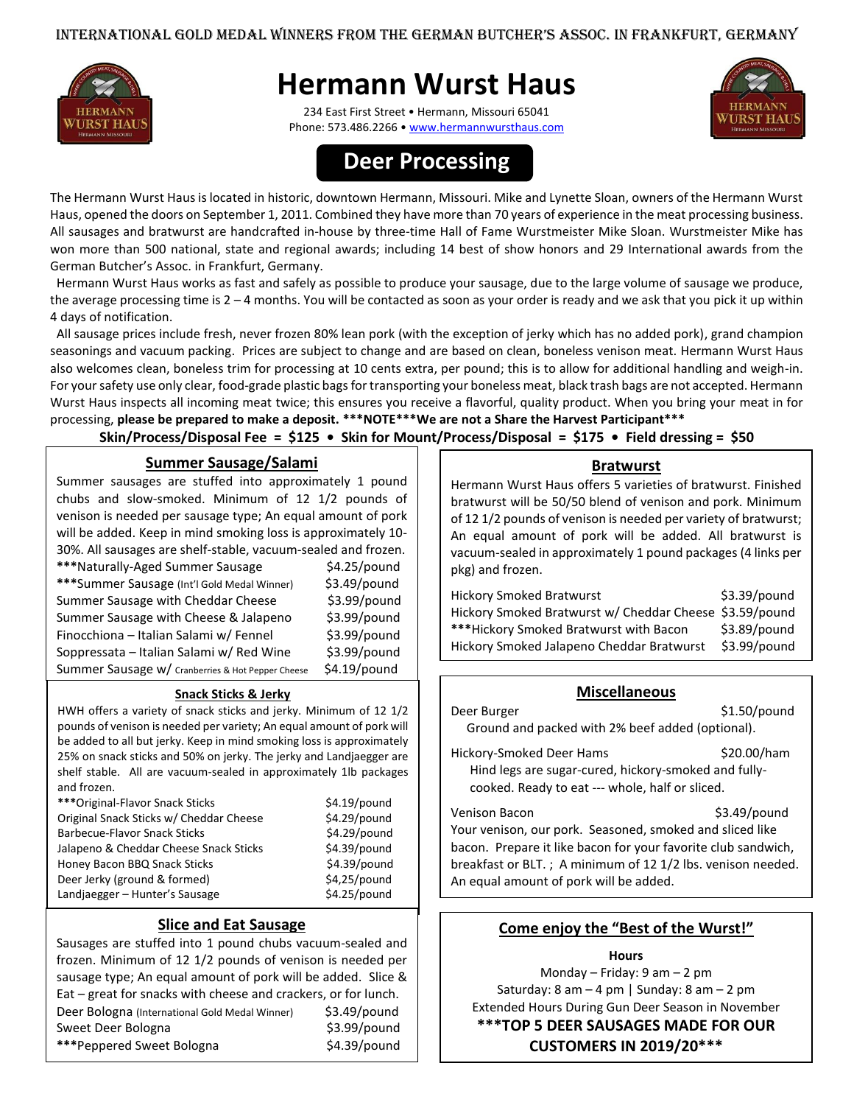international gold medal winners from the german Butcher's assoc. in frankfurt, germany



## **Hermann Wurst Haus**

234 East First Street • Hermann, Missouri 65041 Phone: 573.486.2266 • www.hermannwursthaus.com



## **Deer Processing**

The Hermann Wurst Haus is located in historic, downtown Hermann, Missouri. Mike and Lynette Sloan, owners of the Hermann Wurst Haus, opened the doors on September 1, 2011. Combined they have more than 70 years of experience in the meat processing business. All sausages and bratwurst are handcrafted in-house by three-time Hall of Fame Wurstmeister Mike Sloan. Wurstmeister Mike has won more than 500 national, state and regional awards; including 14 best of show honors and 29 International awards from the German Butcher's Assoc. in Frankfurt, Germany.

 Hermann Wurst Haus works as fast and safely as possible to produce your sausage, due to the large volume of sausage we produce, the average processing time is 2 – 4 months. You will be contacted as soon as your order is ready and we ask that you pick it up within 4 days of notification.

 All sausage prices include fresh, never frozen 80% lean pork (with the exception of jerky which has no added pork), grand champion seasonings and vacuum packing. Prices are subject to change and are based on clean, boneless venison meat. Hermann Wurst Haus also welcomes clean, boneless trim for processing at 10 cents extra, per pound; this is to allow for additional handling and weigh-in. For your safety use only clear, food-grade plastic bags for transporting your boneless meat, black trash bags are not accepted. Hermann Wurst Haus inspects all incoming meat twice; this ensures you receive a flavorful, quality product. When you bring your meat in for processing, **please be prepared to make a deposit. \*\*\*NOTE\*\*\*We are not a Share the Harvest Participant\*\*\*** 

#### **Skin/Process/Disposal Fee = \$125 • Skin for Mount/Process/Disposal = \$175 • Field dressing = \$50**

#### **Summer Sausage/Salami**

Summer sausages are stuffed into approximately 1 pound chubs and slow-smoked. Minimum of 12 1/2 pounds of venison is needed per sausage type; An equal amount of pork will be added. Keep in mind smoking loss is approximately 10- 30%. All sausages are shelf-stable, vacuum-sealed and frozen.

| ***Naturally-Aged Summer Sausage                  | \$4.25/pound |
|---------------------------------------------------|--------------|
| *** Summer Sausage (Int'l Gold Medal Winner)      | \$3.49/pound |
| Summer Sausage with Cheddar Cheese                | \$3.99/pound |
| Summer Sausage with Cheese & Jalapeno             | \$3.99/pound |
| Finocchiona - Italian Salami w/ Fennel            | \$3.99/pound |
| Soppressata – Italian Salami w/ Red Wine          | \$3.99/pound |
| Summer Sausage w/ Cranberries & Hot Pepper Cheese | \$4.19/pound |

#### **Snack Sticks & Jerky**

HWH offers a variety of snack sticks and jerky. Minimum of 12 1/2 pounds of venison is needed per variety; An equal amount of pork will be added to all but jerky. Keep in mind smoking loss is approximately 25% on snack sticks and 50% on jerky. The jerky and Landjaegger are shelf stable. All are vacuum-sealed in approximately 1lb packages and frozen.

| *** Original-Flavor Snack Sticks        | $$4.19$ /pound |
|-----------------------------------------|----------------|
| Original Snack Sticks w/ Cheddar Cheese | \$4.29/pound   |
| <b>Barbecue-Flavor Snack Sticks</b>     | \$4.29/pound   |
| Jalapeno & Cheddar Cheese Snack Sticks  | \$4.39/pound   |
| Honey Bacon BBQ Snack Sticks            | \$4.39/pound   |
| Deer Jerky (ground & formed)            | \$4,25/pound   |
| Landjaegger - Hunter's Sausage          | \$4.25/pound   |

#### **Slice and Eat Sausage**

**Sausage type; An equal amount of pork will be added. Slice &**<br> **Eat** – great for spacks with cheese and crackers, or for lunch Sweet Deer Bologna and the state of \$3.99/pound Sausages are stuffed into 1 pound chubs vacuum-sealed and frozen. Minimum of 12 1/2 pounds of venison is needed per Eat – great for snacks with cheese and crackers, or for lunch. Deer Bologna (International Gold Medal Winner) \$3.49/pound **\*\*\***Peppered Sweet Bologna\$4.39/pound

#### **Bratwurst**

Hermann Wurst Haus offers 5 varieties of bratwurst. Finished bratwurst will be 50/50 blend of venison and pork. Minimum of 12 1/2 pounds of venison is needed per variety of bratwurst; An equal amount of pork will be added. All bratwurst is vacuum-sealed in approximately 1 pound packages (4 links per pkg) and frozen.

| <b>Hickory Smoked Bratwurst</b>                         | $$3.39$ /pound |
|---------------------------------------------------------|----------------|
| Hickory Smoked Bratwurst w/ Cheddar Cheese \$3.59/pound |                |
| *** Hickory Smoked Bratwurst with Bacon                 | $$3.89$ /pound |
| Hickory Smoked Jalapeno Cheddar Bratwurst               | $$3.99$ /pound |

#### **Miscellaneous**

Deer Burger **burger** \$1.50/pound Ground and packed with 2% beef added (optional).

Hickory-Smoked Deer Hams \$20.00/ham

 Hind legs are sugar-cured, hickory-smoked and fully cooked. Ready to eat --- whole, half or sliced.

Venison Bacon **\$3.49/pound** Your venison, our pork. Seasoned, smoked and sliced like bacon. Prepare it like bacon for your favorite club sandwich, breakfast or BLT. ; A minimum of 12 1/2 lbs. venison needed. An equal amount of pork will be added.

#### **Come enjoy the "Best of the Wurst!"**

**Hours**  Monday – Friday: 9 am – 2 pm Saturday: 8 am  $-$  4 pm | Sunday: 8 am  $-$  2 pm Extended Hours During Gun Deer Season in November **\*\*\*TOP 5 DEER SAUSAGES MADE FOR OUR CUSTOMERS IN 2019/20\*\*\***